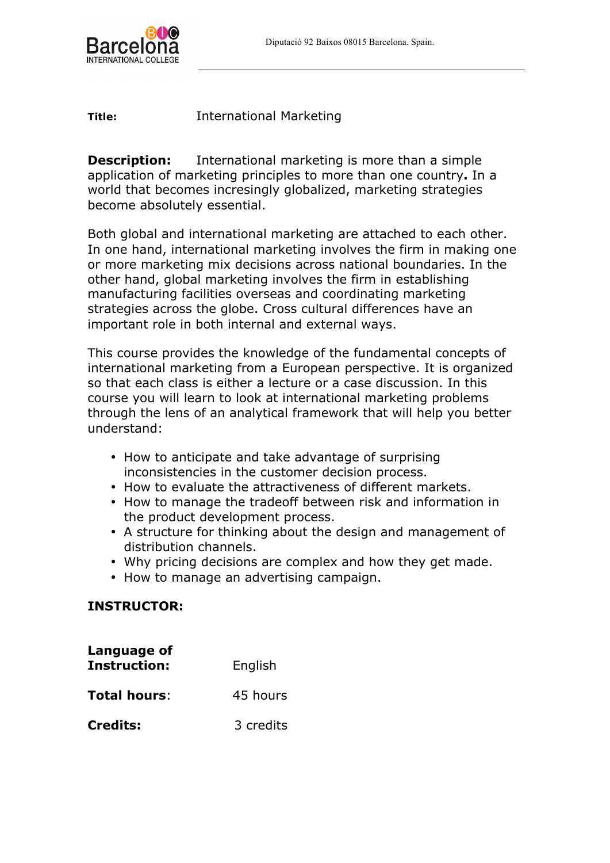

**Title:** International Marketing

**Description:** International marketing is more than a simple application of marketing principles to more than one country**.** In a world that becomes incresingly globalized, marketing strategies become absolutely essential.

Both global and international marketing are attached to each other. In one hand, international marketing involves the firm in making one or more marketing mix decisions across national boundaries. In the other hand, global marketing involves the firm in establishing manufacturing facilities overseas and coordinating marketing strategies across the globe. Cross cultural differences have an important role in both internal and external ways.

This course provides the knowledge of the fundamental concepts of international marketing from a European perspective. It is organized so that each class is either a lecture or a case discussion. In this course you will learn to look at international marketing problems through the lens of an analytical framework that will help you better understand:

- How to anticipate and take advantage of surprising inconsistencies in the customer decision process.
- How to evaluate the attractiveness of different markets.
- How to manage the tradeoff between risk and information in the product development process.
- A structure for thinking about the design and management of distribution channels.
- Why pricing decisions are complex and how they get made.
- How to manage an advertising campaign.

# **INSTRUCTOR:**

| Language of<br><b>Instruction:</b> | English   |
|------------------------------------|-----------|
| <b>Total hours:</b>                | 45 hours  |
| <b>Credits:</b>                    | 3 credits |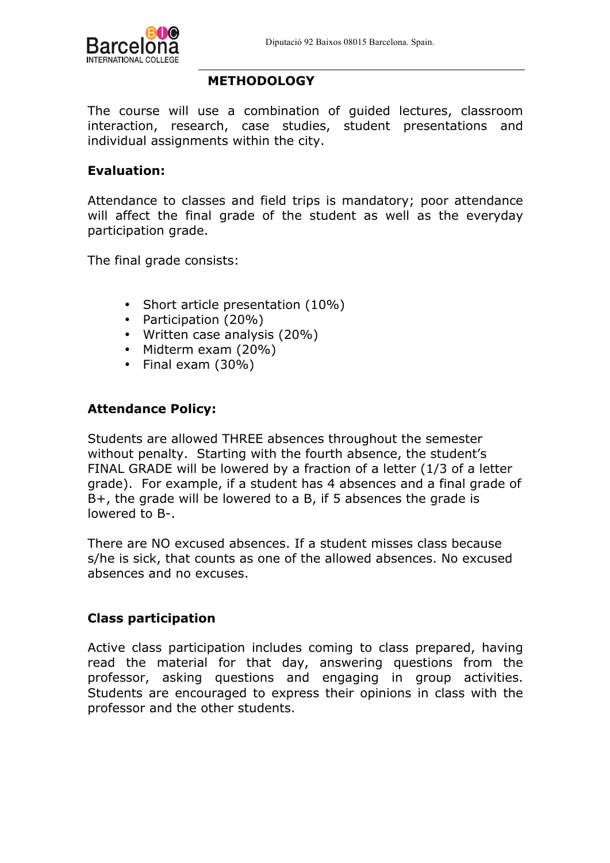

#### **METHODOLOGY**

The course will use a combination of guided lectures, classroom interaction, research, case studies, student presentations and individual assignments within the city.

# **Evaluation:**

Attendance to classes and field trips is mandatory; poor attendance will affect the final grade of the student as well as the everyday participation grade.

The final grade consists:

- Short article presentation (10%)
- Participation (20%)
- Written case analysis (20%)
- Midterm exam (20%)
- Final exam (30%)

# **Attendance Policy:**

Students are allowed THREE absences throughout the semester without penalty. Starting with the fourth absence, the student's FINAL GRADE will be lowered by a fraction of a letter (1/3 of a letter grade). For example, if a student has 4 absences and a final grade of B+, the grade will be lowered to a B, if 5 absences the grade is lowered to B-.

There are NO excused absences. If a student misses class because s/he is sick, that counts as one of the allowed absences. No excused absences and no excuses.

#### **Class participation**

Active class participation includes coming to class prepared, having read the material for that day, answering questions from the professor, asking questions and engaging in group activities. Students are encouraged to express their opinions in class with the professor and the other students.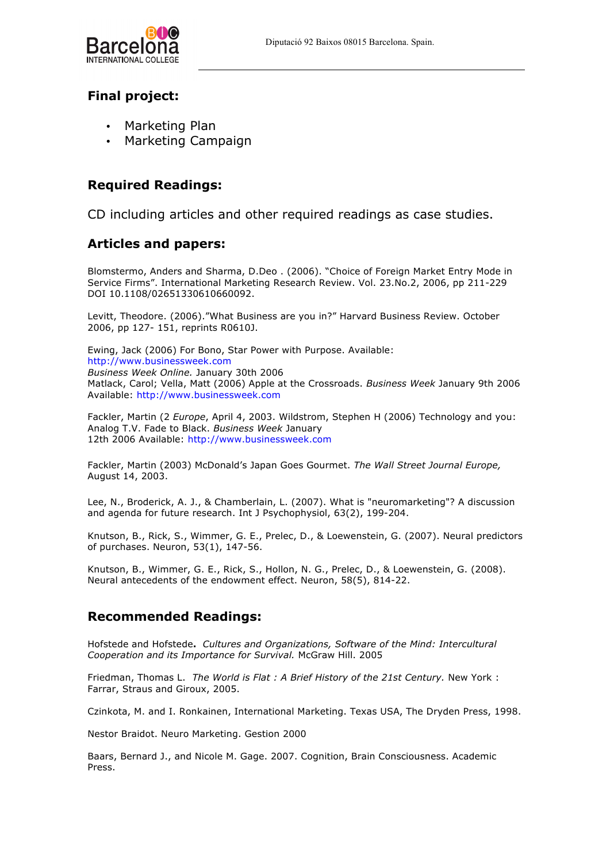

# **Final project:**

- Marketing Plan
- Marketing Campaign

## **Required Readings:**

CD including articles and other required readings as case studies.

## **Articles and papers:**

Blomstermo, Anders and Sharma, D.Deo . (2006). "Choice of Foreign Market Entry Mode in Service Firms". International Marketing Research Review. Vol. 23.No.2, 2006, pp 211-229 DOI 10.1108/02651330610660092.

Levitt, Theodore. (2006)."What Business are you in?" Harvard Business Review. October 2006, pp 127- 151, reprints R0610J.

Ewing, Jack (2006) For Bono, Star Power with Purpose. Available: http://www.businessweek.com *Business Week Online.* January 30th 2006 Matlack, Carol; Vella, Matt (2006) Apple at the Crossroads. *Business Week* January 9th 2006 Available: http://www.businessweek.com

Fackler, Martin (2 *Europe*, April 4, 2003. Wildstrom, Stephen H (2006) Technology and you: Analog T.V. Fade to Black. *Business Week* January 12th 2006 Available: http://www.businessweek.com

Fackler, Martin (2003) McDonald's Japan Goes Gourmet. *The Wall Street Journal Europe,*  August 14, 2003.

Lee, N., Broderick, A. J., & Chamberlain, L. (2007). What is "neuromarketing"? A discussion and agenda for future research. Int J Psychophysiol, 63(2), 199-204.

Knutson, B., Rick, S., Wimmer, G. E., Prelec, D., & Loewenstein, G. (2007). Neural predictors of purchases. Neuron, 53(1), 147-56.

Knutson, B., Wimmer, G. E., Rick, S., Hollon, N. G., Prelec, D., & Loewenstein, G. (2008). Neural antecedents of the endowment effect. Neuron, 58(5), 814-22.

# **Recommended Readings:**

Hofstede and Hofstede**.** *Cultures and Organizations, Software of the Mind: Intercultural Cooperation and its Importance for Survival.* McGraw Hill. 2005

Friedman, Thomas L. *The World is Flat : A Brief History of the 21st Century.* New York : Farrar, Straus and Giroux, 2005.

Czinkota, M. and I. Ronkainen, International Marketing. Texas USA, The Dryden Press, 1998.

Nestor Braidot. Neuro Marketing. Gestion 2000

Baars, Bernard J., and Nicole M. Gage. 2007. Cognition, Brain Consciousness. Academic Press.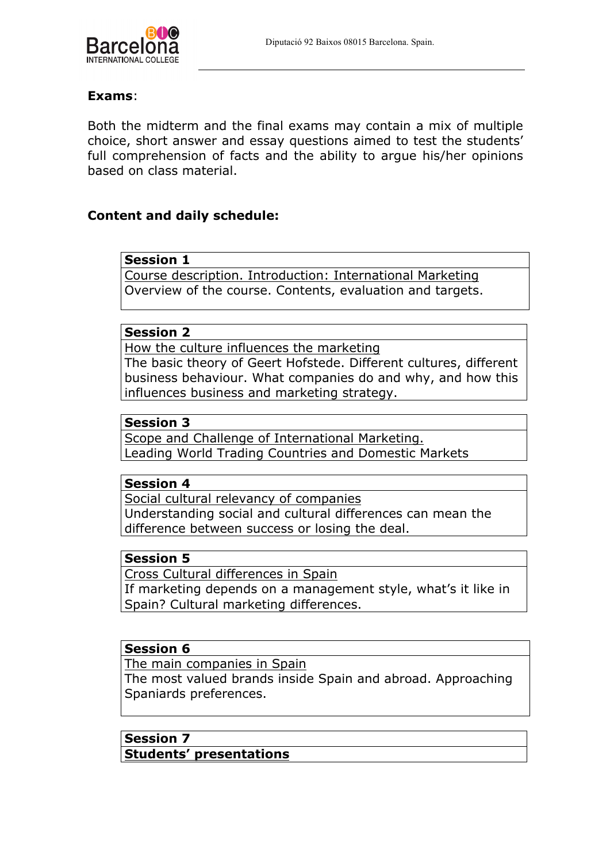

# **Exams**:

Both the midterm and the final exams may contain a mix of multiple choice, short answer and essay questions aimed to test the students' full comprehension of facts and the ability to argue his/her opinions based on class material.

# **Content and daily schedule:**

#### **Session 1**

Course description. Introduction: International Marketing Overview of the course. Contents, evaluation and targets.

#### **Session 2**

How the culture influences the marketing The basic theory of Geert Hofstede. Different cultures, different business behaviour. What companies do and why, and how this influences business and marketing strategy.

#### **Session 3**

Scope and Challenge of International Marketing. Leading World Trading Countries and Domestic Markets

#### **Session 4**

Social cultural relevancy of companies Understanding social and cultural differences can mean the difference between success or losing the deal.

#### **Session 5**

Cross Cultural differences in Spain

If marketing depends on a management style, what's it like in Spain? Cultural marketing differences.

### **Session 6**

The main companies in Spain The most valued brands inside Spain and abroad. Approaching Spaniards preferences.

# **Session 7**

**Students' presentations**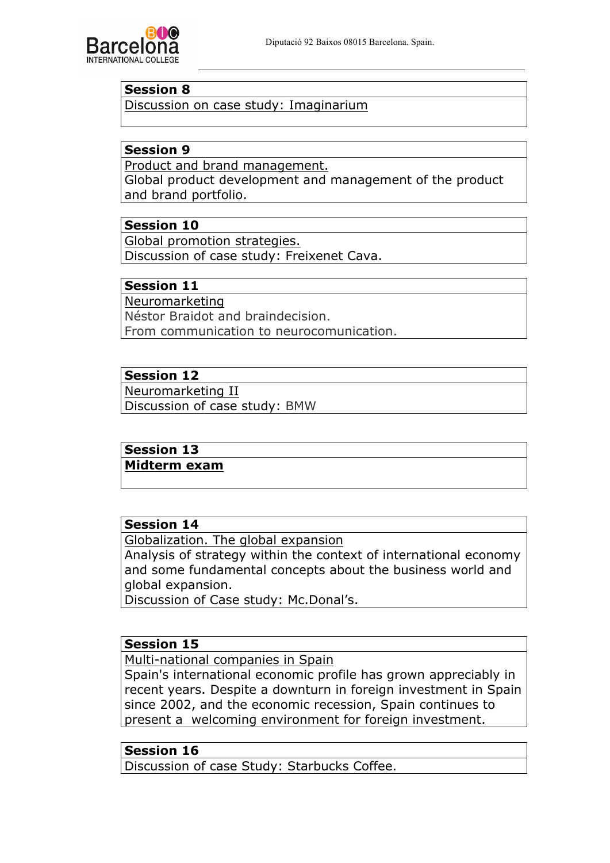

### **Session 8**

Discussion on case study: Imaginarium

## **Session 9**

Product and brand management.

Global product development and management of the product and brand portfolio.

# **Session 10**

Global promotion strategies. Discussion of case study: Freixenet Cava.

# **Session 11**

Neuromarketing Néstor Braidot and braindecision. From communication to neurocomunication.

## **Session 12**

Neuromarketing II Discussion of case study: BMW

# **Session 13**

**Midterm exam**

## **Session 14**

Globalization. The global expansion Analysis of strategy within the context of international economy and some fundamental concepts about the business world and global expansion.

Discussion of Case study: Mc.Donal's.

#### **Session 15**

Multi-national companies in Spain

Spain's international economic profile has grown appreciably in recent years. Despite a downturn in foreign investment in Spain since 2002, and the economic recession, Spain continues to present a welcoming environment for foreign investment.

## **Session 16**

Discussion of case Study: Starbucks Coffee.